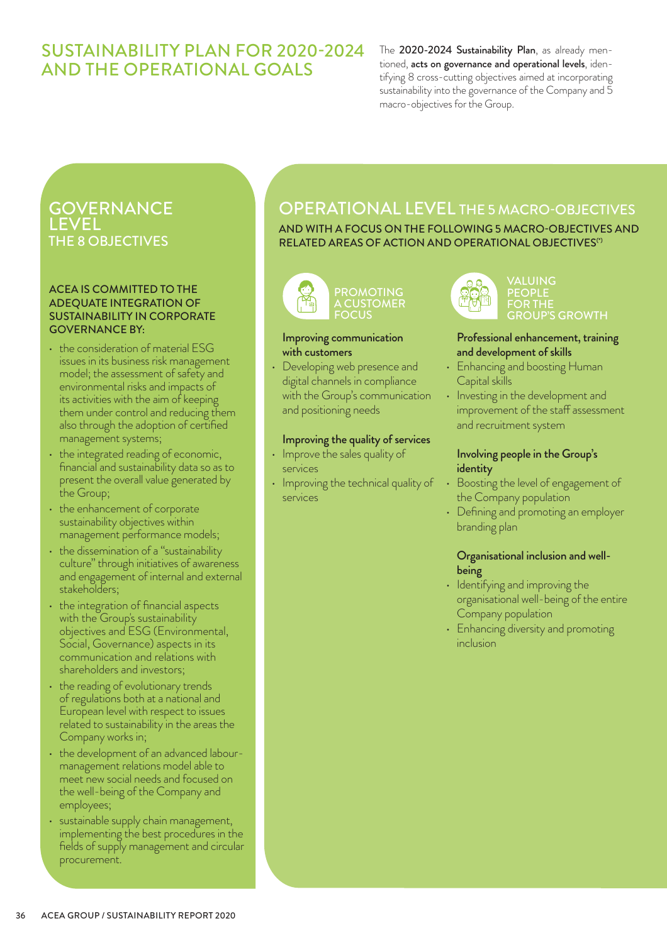## SUSTAINABILITY PLAN FOR 2020-2024 AND THE OPERATIONAL GOALS

The 2020-2024 Sustainability Plan, as already mentioned, acts on governance and operational levels, identifying 8 cross-cutting objectives aimed at incorporating sustainability into the governance of the Company and 5 macro-objectives for the Group.

## **GOVERNANCE** LEVEL THE 8 OBJECTIVES

#### ACEA IS COMMITTED TO THE ADEQUATE INTEGRATION OF SUSTAINABILITY IN CORPORATE GOVERNANCE BY:

- the consideration of material ESG issues in its business risk management model; the assessment of safety and environmental risks and impacts of its activities with the aim of keeping them under control and reducing them also through the adoption of certified management systems;
- the integrated reading of economic, financial and sustainability data so as to present the overall value generated by the Group;
- the enhancement of corporate sustainability objectives within management performance models;
- the dissemination of a "sustainability culture" through initiatives of awareness and engagement of internal and external stakeholders;
- the integration of financial aspects with the Group's sustainability objectives and ESG (Environmental, Social, Governance) aspects in its communication and relations with shareholders and investors;
- the reading of evolutionary trends of regulations both at a national and European level with respect to issues related to sustainability in the areas the Company works in;
- the development of an advanced labourmanagement relations model able to meet new social needs and focused on the well-being of the Company and employees;
- sustainable supply chain management, implementing the best procedures in the fields of supply management and circular procurement.

# OPERATIONAL LEVEL THE 5 MACRO-OBJECTIVES

AND WITH A FOCUS ON THE FOLLOWING 5 MACRO-OBJECTIVES AND RELATED AREAS OF ACTION AND OPERATIONAL OBJECTIVES<sup>®</sup>



#### Improving communication with customers

• Developing web presence and digital channels in compliance with the Group's communication and positioning needs

## Improving the quality of services

- Improve the sales quality of services
- Improving the technical quality of services



VALUING PEOPLE FOR THE GROUP'S GROWTH

## Professional enhancement, training and development of skills

- Enhancing and boosting Human Capital skills
- Investing in the development and improvement of the staff assessment and recruitment system

## Involving people in the Group's identity

- Boosting the level of engagement of the Company population
- Defining and promoting an employer branding plan

## Organisational inclusion and wellbeing

- Identifying and improving the organisational well-being of the entire Company population
- Enhancing diversity and promoting inclusion